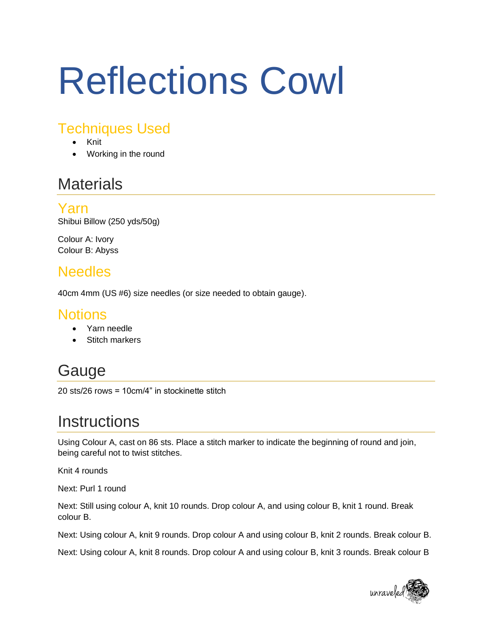# Reflections Cowl

## Techniques Used

- Knit
- Working in the round

## **Materials**

Yarn Shibui Billow (250 yds/50g)

Colour A: Ivory Colour B: Abyss

## Needles

40cm 4mm (US #6) size needles (or size needed to obtain gauge).

#### **Notions**

- Yarn needle
- Stitch markers

# Gauge

20 sts/26 rows = 10cm/4" in stockinette stitch

## **Instructions**

Using Colour A, cast on 86 sts. Place a stitch marker to indicate the beginning of round and join, being careful not to twist stitches.

Knit 4 rounds

Next: Purl 1 round

Next: Still using colour A, knit 10 rounds. Drop colour A, and using colour B, knit 1 round. Break colour B.

Next: Using colour A, knit 9 rounds. Drop colour A and using colour B, knit 2 rounds. Break colour B.

Next: Using colour A, knit 8 rounds. Drop colour A and using colour B, knit 3 rounds. Break colour B